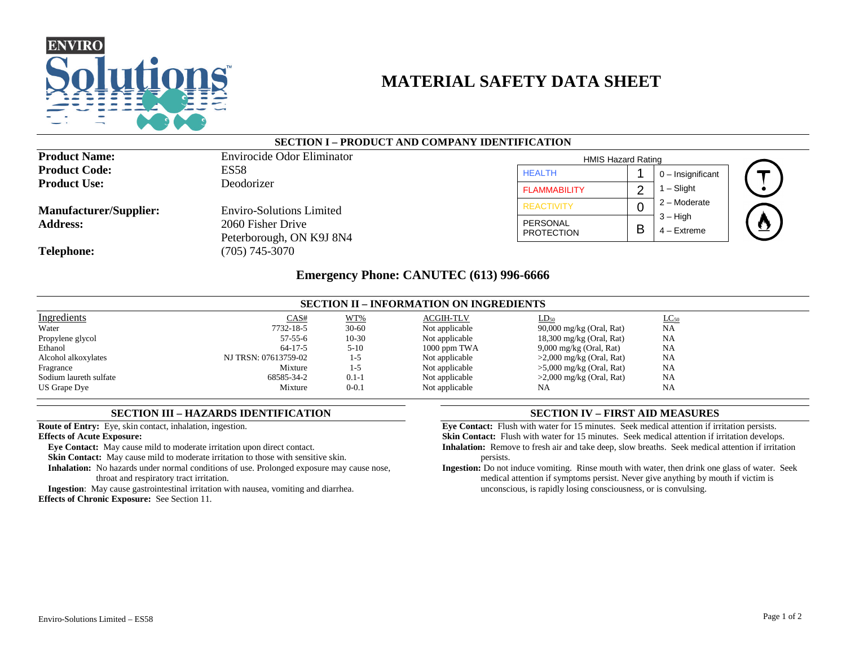

# **MATERIAL SAFETY DATA SHEET**

## **SECTION I – PRODUCT AND COMPANY IDENTIFICATION**

| <b>Product Name:</b>          | <b>Envirocide Odor Eliminator</b>             | <b>HMIS Hazard Rating</b> |   |                             |
|-------------------------------|-----------------------------------------------|---------------------------|---|-----------------------------|
| <b>Product Code:</b>          | ES58                                          | <b>HEALTH</b>             |   | $0$ – Insignificant         |
| <b>Product Use:</b>           | Deodorizer                                    | <b>FLAMMABILITY</b>       |   | $1 -$ Slight                |
| <b>Manufacturer/Supplier:</b> | <b>Enviro-Solutions Limited</b>               | <b>REACTIVITY</b>         |   | $2 -$ Moderate              |
| <b>Address:</b>               | 2060 Fisher Drive<br>Peterborough, ON K9J 8N4 | PERSONAL<br>PROTECTION    | B | $3 - High$<br>$4 -$ Extreme |
| <b>Telephone:</b>             | $(705)$ 745-3070                              |                           |   |                             |

# **Emergency Phone: CANUTEC (613) 996-6666**

| <b>SECTION II – INFORMATION ON INGREDIENTS</b> |                      |           |                  |                            |           |
|------------------------------------------------|----------------------|-----------|------------------|----------------------------|-----------|
| Ingredients                                    | CAS#                 | WT%       | <b>ACGIH-TLV</b> | $LD_{50}$                  | $LC_{50}$ |
| Water                                          | 7732-18-5            | $30 - 60$ | Not applicable   | 90,000 mg/kg (Oral, Rat)   | NA        |
| Propylene glycol                               | $57 - 55 - 6$        | $10-30$   | Not applicable   | $18,300$ mg/kg (Oral, Rat) | NA        |
| Ethanol                                        | $64-17-5$            | $5 - 10$  | $1000$ ppm TWA   | $9,000$ mg/kg (Oral, Rat)  | NA        |
| Alcohol alkoxylates                            | NJ TRSN: 07613759-02 | $1-5$     | Not applicable   | $>2,000$ mg/kg (Oral, Rat) | NA        |
| Fragrance                                      | Mixture              | $1-5$     | Not applicable   | $>5,000$ mg/kg (Oral, Rat) | NA        |
| Sodium laureth sulfate                         | 68585-34-2           | $0.1 - 1$ | Not applicable   | $>2,000$ mg/kg (Oral, Rat) | NA        |
| US Grape Dye                                   | Mixture              | $0 - 0.1$ | Not applicable   | NA                         | NA        |

## **SECTION III – HAZARDS IDENTIFICATION**

**Route of Entry:** Eye, skin contact, inhalation, ingestion.

**Effects of Acute Exposure:**

**Eye Contact:** May cause mild to moderate irritation upon direct contact.

**Skin Contact:** May cause mild to moderate irritation to those with sensitive skin.

**Inhalation:** No hazards under normal conditions of use. Prolonged exposure may cause nose, throat and respiratory tract irritation.

**Ingestion**: May cause gastrointestinal irritation with nausea, vomiting and diarrhea. **Effects of Chronic Exposure:** See Section 11.

## **SECTION IV – FIRST AID MEASURES**

**Eye Contact:** Flush with water for 15 minutes. Seek medical attention if irritation persists. **Skin Contact:** Flush with water for 15 minutes. Seek medical attention if irritation develops. **Inhalation:** Remove to fresh air and take deep, slow breaths. Seek medical attention if irritation persists.

**Ingestion:** Do not induce vomiting. Rinse mouth with water, then drink one glass of water. Seek medical attention if symptoms persist. Never give anything by mouth if victim is unconscious, is rapidly losing consciousness, or is convulsing.